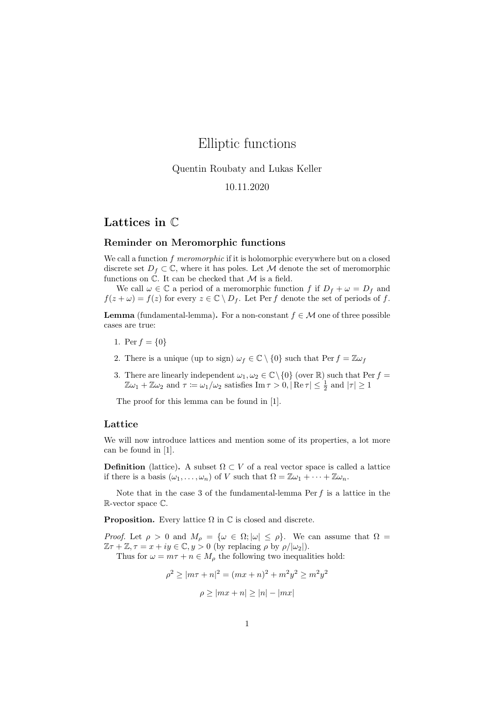# Elliptic functions

## Quentin Roubaty and Lukas Keller

# 10.11.2020

# Lattices in C

#### Reminder on Meromorphic functions

We call a function  $f$  meromorphic if it is holomorphic everywhere but on a closed discrete set  $D_f \subset \mathbb{C}$ , where it has poles. Let M denote the set of meromorphic functions on  $\mathbb C$ . It can be checked that  $\mathcal M$  is a field.

We call  $\omega \in \mathbb{C}$  a period of a meromorphic function f if  $D_f + \omega = D_f$  and  $f(z + \omega) = f(z)$  for every  $z \in \mathbb{C} \setminus D_f$ . Let Per f denote the set of periods of f.

**Lemma** (fundamental-lemma). For a non-constant  $f \in \mathcal{M}$  one of three possible cases are true:

- 1. Per  $f = \{0\}$
- 2. There is a unique (up to sign)  $\omega_f \in \mathbb{C} \setminus \{0\}$  such that  $\text{Per } f = \mathbb{Z} \omega_f$
- 3. There are linearly independent  $\omega_1, \omega_2 \in \mathbb{C} \setminus \{0\}$  (over  $\mathbb{R}$ ) such that Per  $f =$  $\mathbb{Z}\omega_1 + \mathbb{Z}\omega_2$  and  $\tau := \omega_1/\omega_2$  satisfies  $\text{Im}\,\tau > 0, |\operatorname{Re}\tau| \leq \frac{1}{2}$  and  $|\tau| \geq 1$

The proof for this lemma can be found in [1].

#### Lattice

We will now introduce lattices and mention some of its properties, a lot more can be found in [1].

**Definition** (lattice). A subset  $\Omega \subset V$  of a real vector space is called a lattice if there is a basis  $(\omega_1, \ldots, \omega_n)$  of V such that  $\Omega = \mathbb{Z}\omega_1 + \cdots + \mathbb{Z}\omega_n$ .

Note that in the case 3 of the fundamental-lemma  $Per f$  is a lattice in the R-vector space C.

**Proposition.** Every lattice  $\Omega$  in  $\mathbb C$  is closed and discrete.

*Proof.* Let  $\rho > 0$  and  $M_{\rho} = {\omega \in \Omega; |\omega| \le \rho}.$  We can assume that  $\Omega =$  $\mathbb{Z}\tau + \mathbb{Z}, \tau = x + iy \in \mathbb{C}, y > 0$  (by replacing  $\rho$  by  $\rho/|\omega_2|$ ).

Thus for  $\omega = m\tau + n \in M_\rho$  the following two inequalities hold:

$$
\rho^2 \ge |m\tau + n|^2 = (mx + n)^2 + m^2y^2 \ge m^2y^2
$$

$$
\rho \ge |mx + n| \ge |n| - |mx|
$$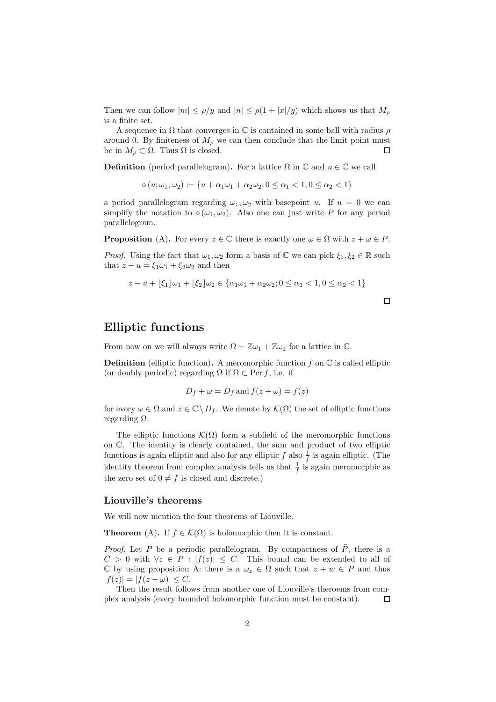Then we can follow  $|m| \leq \rho/y$  and  $|n| \leq \rho(1+|x|/y)$  which shows us that  $M_\rho$ is a finite set.

A sequence in  $\Omega$  that converges in  $\mathbb C$  is contained in some ball with radius  $\rho$ around 0. By finiteness of  $M_{\rho}$  we can then conclude that the limit point must be in  $M_{\rho} \subset \Omega$ . Thus  $\Omega$  is closed.  $\Box$ 

**Definition** (period parallelogram). For a lattice  $\Omega$  in  $\mathbb{C}$  and  $u \in \mathbb{C}$  we call

 $\Diamond(u; \omega_1, \omega_2) \coloneqq \{u + \alpha_1\omega_1 + \alpha_2\omega_2; 0 \leq \alpha_1 < 1, 0 \leq \alpha_2 < 1\}$ 

a period parallelogram regarding  $\omega_1, \omega_2$  with basepoint u. If  $u = 0$  we can simplify the notation to  $\diamond(\omega_1,\omega_2)$ . Also one can just write P for any period parallelogram.

**Proposition** (A). For every  $z \in \mathbb{C}$  there is exactly one  $\omega \in \Omega$  with  $z + \omega \in P$ .

*Proof.* Using the fact that  $\omega_1, \omega_2$  form a basis of  $\mathbb C$  we can pick  $\xi_1, \xi_2 \in \mathbb R$  such that  $z - u = \xi_1 \omega_1 + \xi_2 \omega_2$  and then

$$
z - u + \lfloor \xi_1 \rfloor \omega_1 + \lfloor \xi_2 \rfloor \omega_2 \in \{ \alpha_1 \omega_1 + \alpha_2 \omega_2; 0 \le \alpha_1 < 1, 0 \le \alpha_2 < 1 \}
$$

 $\Box$ 

# Elliptic functions

From now on we will always write  $\Omega = \mathbb{Z}\omega_1 + \mathbb{Z}\omega_2$  for a lattice in  $\mathbb{C}$ .

**Definition** (elliptic function). A meromorphic function f on  $\mathbb C$  is called elliptic (or doubly periodic) regarding  $\Omega$  if  $\Omega \subset \text{Per } f$ , i.e. if

$$
D_f + \omega = D_f \text{ and } f(z + \omega) = f(z)
$$

for every  $\omega \in \Omega$  and  $z \in \mathbb{C} \setminus D_f$ . We denote by  $\mathcal{K}(\Omega)$  the set of elliptic functions regarding  $Ω$ .

The elliptic functions  $\mathcal{K}(\Omega)$  form a subfield of the meromorphic functions on C. The identity is clearly contained, the sum and product of two elliptic functions is again elliptic and also for any elliptic  $f$  also  $\frac{1}{f}$  is again elliptic. (The identity theorem from complex analysis tells us that  $\frac{1}{f}$  is again meromorphic as the zero set of  $0 \neq f$  is closed and discrete.)

#### Liouville's theorems

We will now mention the four theorems of Liouville.

**Theorem** (A). If  $f \in \mathcal{K}(\Omega)$  is holomorphic then it is constant.

*Proof.* Let P be a periodic parallelogram. By compactness of  $\overline{P}$ , there is a  $C > 0$  with  $\forall z \in P : |f(z)| \leq C$ . This bound can be extended to all of C by using proposition A: there is a  $\omega_z \in \Omega$  such that  $z + w \in P$  and thus  $|f(z)| = |f(z + \omega)| \leq C.$ 

Then the result follows from another one of Liouville's theroems from complex analysis (every bounded holomorphic function must be constant).  $\Box$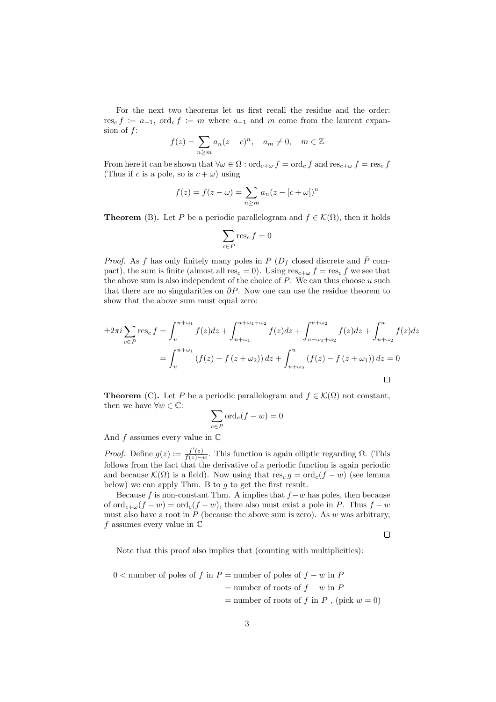For the next two theorems let us first recall the residue and the order: res<sub>c</sub>  $f := a_{-1}$ , ord<sub>c</sub>  $f := m$  where  $a_{-1}$  and m come from the laurent expansion of  $f$ :

$$
f(z) = \sum_{n \ge m} a_n (z - c)^n, \quad a_m \ne 0, \quad m \in \mathbb{Z}
$$

From here it can be shown that  $\forall \omega \in \Omega : \text{ord}_{c+\omega} f = \text{ord}_c f$  and  $\text{res}_{c+\omega} f = \text{res}_c f$ (Thus if c is a pole, so is  $c + \omega$ ) using

$$
f(z) = f(z - \omega) = \sum_{n \ge m} a_n (z - [c + \omega])^n
$$

**Theorem** (B). Let P be a periodic parallelogram and  $f \in \mathcal{K}(\Omega)$ , then it holds

$$
\sum_{c \in P} \operatorname{res}_c f = 0
$$

*Proof.* As f has only finitely many poles in P ( $D_f$  closed discrete and  $\bar{P}$  compact), the sum is finite (almost all res<sub>c</sub> = 0). Using res<sub>c+ $\omega$ </sub>  $f = \text{res}_c f$  we see that the above sum is also independent of the choice of  $P$ . We can thus choose  $u$  such that there are no singularities on  $\partial P$ . Now one can use the residue theorem to show that the above sum must equal zero:

$$
\pm 2\pi i \sum_{c \in P} \text{res}_c f = \int_u^{u+\omega_1} f(z)dz + \int_{u+\omega_1}^{u+\omega_1+\omega_2} f(z)dz + \int_{u+\omega_1+\omega_2}^{u+\omega_2} f(z)dz + \int_{u+\omega_2}^u f(z)dz
$$

$$
= \int_u^{u+\omega_1} (f(z) - f(z + \omega_2)) dz + \int_{u+\omega_2}^u (f(z) - f(z + \omega_1)) dz = 0
$$

**Theorem** (C). Let P be a periodic parallelogram and  $f \in \mathcal{K}(\Omega)$  not constant, then we have  $\forall w \in \mathbb{C}$ :

$$
\sum_{c \in P} \text{ord}_c(f - w) = 0
$$

And  $f$  assumes every value in  $\mathbb C$ 

*Proof.* Define  $g(z) := \frac{f'(z)}{f(z)-z}$  $\frac{f(z)}{f(z)-w}$ . This function is again elliptic regarding  $\Omega$ . (This follows from the fact that the derivative of a periodic function is again periodic and because  $\mathcal{K}(\Omega)$  is a field). Now using that  $res_c g = ord_c(f - w)$  (see lemma below) we can apply Thm. B to  $g$  to get the first result.

Because f is non-constant Thm. A implies that  $f-w$  has poles, then because of  $\text{ord}_{c+\omega}(f-w) = \text{ord}_{c}(f-w)$ , there also must exist a pole in P. Thus  $f-w$ must also have a root in  $P$  (because the above sum is zero). As  $w$  was arbitrary,  $f$  assumes every value in  $\mathbb C$ 

 $\Box$ 

Note that this proof also implies that (counting with multiplicities):

$$
0 < \text{number of poles of } f \text{ in } P = \text{number of poles of } f - w \text{ in } P
$$
\n
$$
= \text{number of roots of } f - w \text{ in } P
$$
\n
$$
= \text{number of roots of } f \text{ in } P \text{ , (pick } w = 0)
$$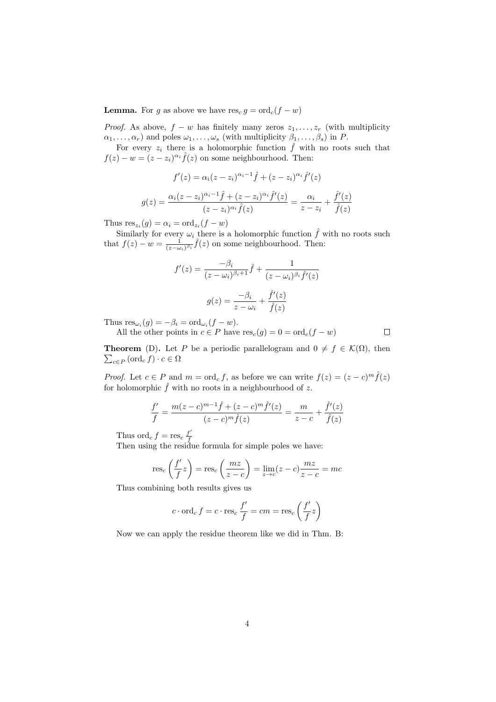**Lemma.** For g as above we have  $res_c g = ord_c(f - w)$ 

*Proof.* As above,  $f - w$  has finitely many zeros  $z_1, \ldots, z_r$  (with multiplicity  $\alpha_1, \ldots, \alpha_r$ ) and poles  $\omega_1, \ldots, \omega_s$  (with multiplicity  $\beta_1, \ldots, \beta_s$ ) in P.

For every  $z_i$  there is a holomorphic function  $\hat{f}$  with no roots such that  $f(z) - w = (z - z_i)^{\alpha_i} \hat{f}(z)$  on some neighbourhood. Then:

$$
f'(z) = \alpha_i (z - z_i)^{\alpha_i - 1} \hat{f} + (z - z_i)^{\alpha_i} \hat{f}'(z)
$$

$$
g(z) = \frac{\alpha_i (z - z_i)^{\alpha_i - 1} \hat{f} + (z - z_i)^{\alpha_i} \hat{f}'(z)}{(z - z_i)^{\alpha_i} \hat{f}(z)} = \frac{\alpha_i}{z - z_i} + \frac{\hat{f}'(z)}{\hat{f}(z)}
$$

Thus  $res_{z_i}(g) = \alpha_i = ord_{z_i}(f - w)$ 

Similarly for every  $\omega_i$  there is a holomorphic function  $\hat{f}$  with no roots such that  $f(z) - w = \frac{1}{(z-\omega_i)^{\beta_i}} \hat{f}(z)$  on some neighbourhood. Then:

$$
f'(z) = \frac{-\beta_i}{(z - \omega_i)^{\beta_i + 1}} \hat{f} + \frac{1}{(z - \omega_i)^{\beta_i} \hat{f}'(z)}
$$

$$
g(z) = \frac{-\beta_i}{z - \omega_i} + \frac{\hat{f}'(z)}{\hat{f}(z)}
$$

Thus  $res_{\omega_i}(g) = -\beta_i = \text{ord}_{\omega_i}(f - w).$ All the other points in  $c \in P$  have  $res_c(g) = 0 = ord_c(f - w)$ 

 $\Box$ 

 $\sum_{c \in P} (\text{ord}_c f) \cdot c \in \Omega$ **Theorem** (D). Let P be a periodic parallelogram and  $0 \neq f \in \mathcal{K}(\Omega)$ , then

*Proof.* Let  $c \in P$  and  $m = \text{ord}_c f$ , as before we can write  $f(z) = (z - c)^m \hat{f}(z)$ for holomorphic  $\hat{f}$  with no roots in a neighbourhood of z.

$$
\frac{f'}{f} = \frac{m(z-c)^{m-1}\hat{f} + (z-c)^m\hat{f}'(z)}{(z-c)^m\hat{f}(z)} = \frac{m}{z-c} + \frac{\hat{f}'(z)}{\hat{f}(z)}
$$

Thus ord<sub>c</sub>  $f = \text{res}_c \frac{f'}{f}$ 

Then using the residue formula for simple poles we have:

$$
res_c\left(\frac{f'}{f}z\right) = res_c\left(\frac{mz}{z-c}\right) = \lim_{z \to c}(z-c)\frac{mz}{z-c} = mc
$$

Thus combining both results gives us

$$
c \cdot \operatorname{ord}_c f = c \cdot \operatorname{res}_c \frac{f'}{f} = cm = \operatorname{res}_c \left(\frac{f'}{f} z\right)
$$

Now we can apply the residue theorem like we did in Thm. B: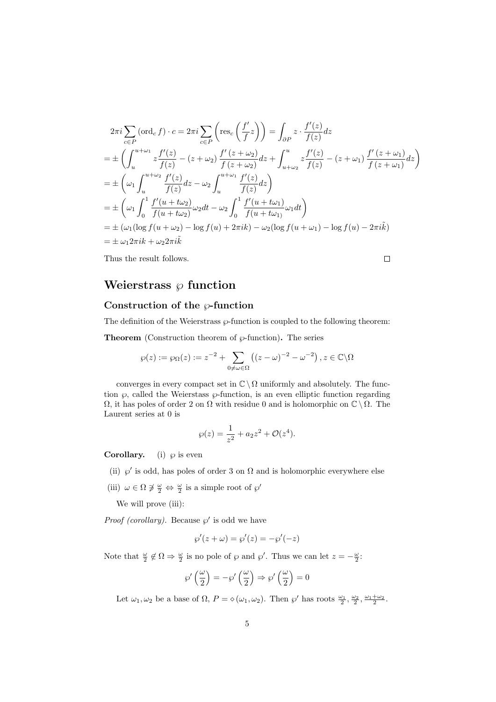$$
2\pi i \sum_{c \in P} (\text{ord}_{c} f) \cdot c = 2\pi i \sum_{c \in P} \left( \text{res}_{c} \left( \frac{f'}{f} z \right) \right) = \int_{\partial P} z \cdot \frac{f'(z)}{f(z)} dz
$$
  
\n
$$
= \pm \left( \int_{u}^{u+\omega_{1}} z \frac{f'(z)}{f(z)} - (z+\omega_{2}) \frac{f'(z+\omega_{2})}{f(z+\omega_{2})} dz + \int_{u+\omega_{2}}^{u} z \frac{f'(z)}{f(z)} - (z+\omega_{1}) \frac{f'(z+\omega_{1})}{f(z+\omega_{1})} dz \right)
$$
  
\n
$$
= \pm \left( \omega_{1} \int_{u}^{u+\omega_{2}} \frac{f'(z)}{f(z)} dz - \omega_{2} \int_{u}^{u+\omega_{1}} \frac{f'(z)}{f(z)} dz \right)
$$
  
\n
$$
= \pm \left( \omega_{1} \int_{0}^{1} \frac{f'(u+t\omega_{2})}{f(u+t\omega_{2})} \omega_{2} dt - \omega_{2} \int_{0}^{1} \frac{f'(u+t\omega_{1})}{f(u+t\omega_{1})} \omega_{1} dt \right)
$$
  
\n
$$
= \pm \left( \omega_{1} (\log f(u+\omega_{2}) - \log f(u) + 2\pi i k) - \omega_{2} (\log f(u+\omega_{1}) - \log f(u) - 2\pi i k) \right)
$$
  
\n
$$
= \pm \omega_{1} 2\pi i k + \omega_{2} 2\pi i \tilde{k}
$$

 $\Box$ 

Thus the result follows.

Weierstrass  $\wp$  function

## Construction of the  $\wp$ -function

The definition of the Weierstrass  $\wp$ -function is coupled to the following theorem:

**Theorem** (Construction theorem of  $\wp$ -function). The series

$$
\wp(z) := \wp_{\Omega}(z) := z^{-2} + \sum_{0 \neq \omega \in \Omega} \left( (z - \omega)^{-2} - \omega^{-2} \right), z \in \mathbb{C} \backslash \Omega
$$

converges in every compact set in  $\mathbb{C} \setminus \Omega$  uniformly and absolutely. The function  $\wp$ , called the Weierstass  $\wp$ -function, is an even elliptic function regarding  $\Omega$ , it has poles of order 2 on  $\Omega$  with residue 0 and is holomorphic on  $\mathbb{C} \setminus \Omega$ . The Laurent series at 0 is

$$
\wp(z) = \frac{1}{z^2} + a_2 z^2 + \mathcal{O}(z^4).
$$

**Corollary.** (i)  $\wp$  is even

(ii)  $\wp'$  is odd, has poles of order 3 on  $\Omega$  and is holomorphic everywhere else

(iii)  $\omega \in \Omega \not\ni \frac{\omega}{2} \Leftrightarrow \frac{\omega}{2}$  is a simple root of  $\wp'$ 

We will prove (iii):

*Proof (corollary)*. Because  $\wp'$  is odd we have

$$
\wp'(z + \omega) = \wp'(z) = -\wp'(-z)
$$

Note that  $\frac{\omega}{2} \notin \Omega \Rightarrow \frac{\omega}{2}$  is no pole of  $\wp$  and  $\wp'$ . Thus we can let  $z = -\frac{\omega}{2}$ .

$$
\wp'\left(\frac{\omega}{2}\right)=-\wp'\left(\frac{\omega}{2}\right)\Rightarrow\wp'\left(\frac{\omega}{2}\right)=0
$$

Let  $\omega_1, \omega_2$  be a base of  $\Omega$ ,  $P = \diamond (\omega_1, \omega_2)$ . Then  $\wp'$  has roots  $\frac{\omega_1}{2}, \frac{\omega_2}{2}, \frac{\omega_1 + \omega_2}{2}$ .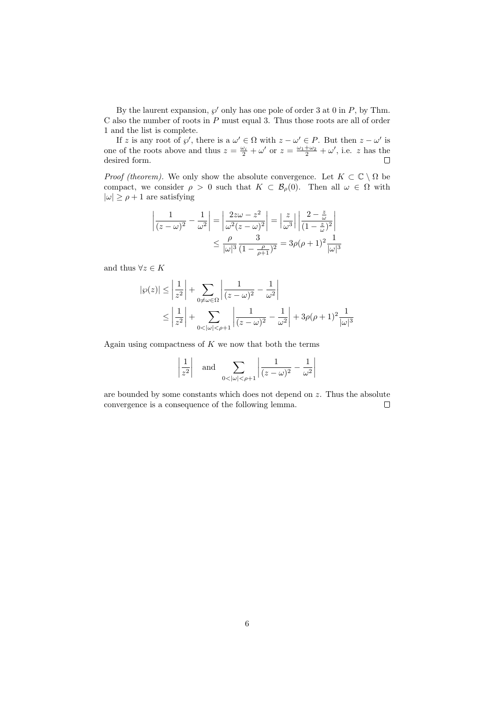By the laurent expansion,  $\wp'$  only has one pole of order 3 at 0 in  $P$ , by Thm.  $C$  also the number of roots in  $P$  must equal 3. Thus those roots are all of order 1 and the list is complete.

If z is any root of  $\wp'$ , there is a  $\omega' \in \Omega$  with  $z - \omega' \in P$ . But then  $z - \omega'$  is one of the roots above and thus  $z = \frac{\omega_i}{2} + \omega'$  or  $z = \frac{\omega_1 + \omega_2}{2} + \omega'$ , i.e. z has the desired form.  $\Box$ 

*Proof (theorem).* We only show the absolute convergence. Let  $K \subset \mathbb{C} \setminus \Omega$  be compact, we consider  $\rho > 0$  such that  $K \subset \mathcal{B}_{\rho}(0)$ . Then all  $\omega \in \Omega$  with  $|\omega| \ge \rho + 1$  are satisfying

$$
\left| \frac{1}{(z-\omega)^2} - \frac{1}{\omega^2} \right| = \left| \frac{2z\omega - z^2}{\omega^2 (z-\omega)^2} \right| = \left| \frac{z}{\omega^3} \right| \left| \frac{2 - \frac{z}{\omega}}{(1 - \frac{z}{\omega})^2} \right|
$$

$$
\leq \frac{\rho}{|\omega|^3} \frac{3}{(1 - \frac{\rho}{\rho + 1})^2} = 3\rho(\rho + 1)^2 \frac{1}{|\omega|^3}
$$

and thus  $\forall z \in K$ 

$$
|\wp(z)| \le \left| \frac{1}{z^2} \right| + \sum_{0 \ne \omega \in \Omega} \left| \frac{1}{(z - \omega)^2} - \frac{1}{\omega^2} \right|
$$
  

$$
\le \left| \frac{1}{z^2} \right| + \sum_{0 < |\omega| < \rho + 1} \left| \frac{1}{(z - \omega)^2} - \frac{1}{\omega^2} \right| + 3\rho(\rho + 1)^2 \frac{1}{|\omega|^3}
$$

Again using compactness of  $K$  we now that both the terms

$$
\left|\frac{1}{z^2}\right|
$$
 and  $\sum_{0<|\omega|<\rho+1} \left|\frac{1}{(z-\omega)^2} - \frac{1}{\omega^2}\right|$ 

are bounded by some constants which does not depend on z. Thus the absolute convergence is a consequence of the following lemma.  $\Box$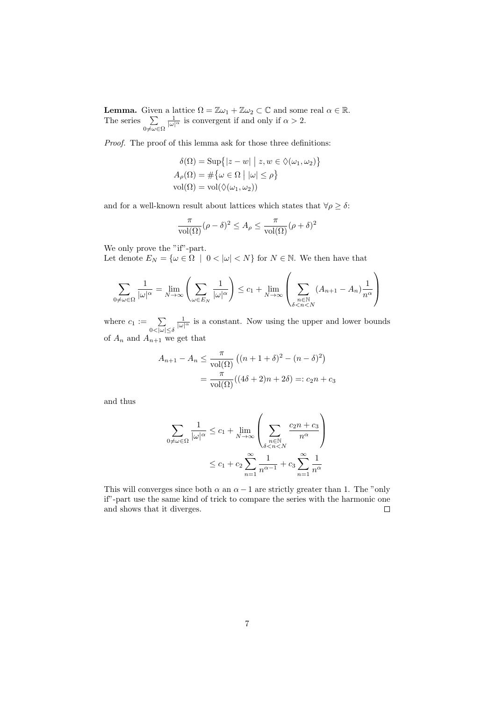**Lemma.** Given a lattice  $\Omega = \mathbb{Z}\omega_1 + \mathbb{Z}\omega_2 \subset \mathbb{C}$  and some real  $\alpha \in \mathbb{R}$ . The series  $\sum$  $0\not=\omega \in \Omega$  $\frac{1}{|\omega|^{\alpha}}$  is convergent if and only if  $\alpha > 2$ .

Proof. The proof of this lemma ask for those three definitions:

$$
\begin{aligned}\n\delta(\Omega) &= \text{Sup}\{|z - w| \mid z, w \in \Diamond(\omega_1, \omega_2)\} \\
A_{\rho}(\Omega) &= \#\{\omega \in \Omega \mid |\omega| \le \rho\} \\
\text{vol}(\Omega) &= \text{vol}(\Diamond(\omega_1, \omega_2))\n\end{aligned}
$$

and for a well-known result about lattices which states that  $\forall \rho \geq \delta$ :

$$
\frac{\pi}{\text{vol}(\Omega)}(\rho - \delta)^2 \le A_\rho \le \frac{\pi}{\text{vol}(\Omega)}(\rho + \delta)^2
$$

We only prove the "if"-part.

Let denote  $E_N = {\omega \in \Omega \mid 0 < |\omega| < N}$  for  $N \in \mathbb{N}$ . We then have that

$$
\sum_{0 \neq \omega \in \Omega} \frac{1}{|\omega|^{\alpha}} = \lim_{N \to \infty} \left( \sum_{\omega \in E_N} \frac{1}{|\omega|^{\alpha}} \right) \leq c_1 + \lim_{N \to \infty} \left( \sum_{\substack{n \in \mathbb{N} \\ \delta < n < N}} (A_{n+1} - A_n) \frac{1}{n^{\alpha}} \right)
$$

where  $c_1 := \sum_{0 < |\omega| \le \delta}$  $\frac{1}{|\omega|^{\alpha}}$  is a constant. Now using the upper and lower bounds of  $\mathcal{A}_n$  and  $\mathcal{A}_{n+1}$  we get that

$$
A_{n+1} - A_n \le \frac{\pi}{\text{vol}(\Omega)} \left( (n+1+\delta)^2 - (n-\delta)^2 \right)
$$

$$
= \frac{\pi}{\text{vol}(\Omega)} \left( (4\delta + 2)n + 2\delta \right) =: c_2 n + c_3
$$

and thus

$$
\sum_{0 \neq \omega \in \Omega} \frac{1}{|\omega|^{\alpha}} \leq c_1 + \lim_{N \to \infty} \left( \sum_{\substack{n \in \mathbb{N} \\ \delta < n < N}} \frac{c_2 n + c_3}{n^{\alpha}} \right)
$$
\n
$$
\leq c_1 + c_2 \sum_{n=1}^{\infty} \frac{1}{n^{\alpha - 1}} + c_3 \sum_{n=1}^{\infty} \frac{1}{n^{\alpha}}
$$

This will converges since both  $\alpha$  an  $\alpha - 1$  are strictly greater than 1. The "only" if"-part use the same kind of trick to compare the series with the harmonic one and shows that it diverges.  $\Box$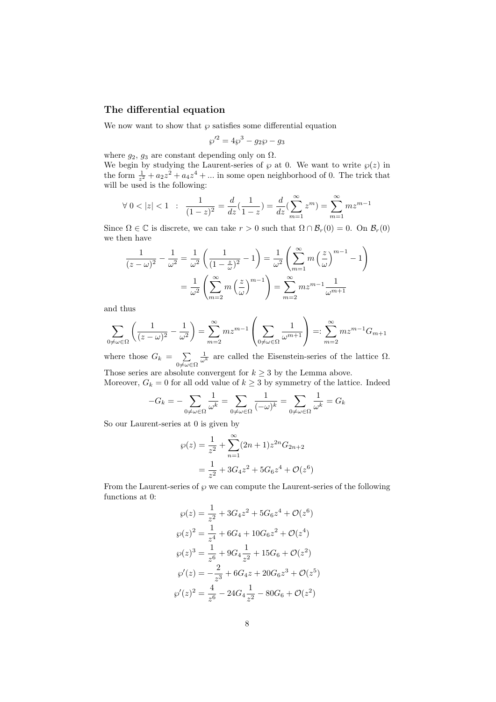### The differential equation

We now want to show that  $\wp$  satisfies some differential equation

$$
\wp'^2 = 4\wp^3 - g_2\wp - g_3
$$

where  $g_2$ ,  $g_3$  are constant depending only on  $\Omega$ .

We begin by studying the Laurent-series of  $\wp$  at 0. We want to write  $\wp(z)$  in the form  $\frac{1}{z^2} + a_2 z^2 + a_4 z^4 + \dots$  in some open neighborhood of 0. The trick that will be used is the following:

$$
\forall \ 0 < |z| < 1 \quad : \quad \frac{1}{(1-z)^2} = \frac{d}{dz}(\frac{1}{1-z}) = \frac{d}{dz}(\sum_{m=1}^{\infty} z^m) = \sum_{m=1}^{\infty} m z^{m-1}
$$

Since  $\Omega \in \mathbb{C}$  is discrete, we can take  $r > 0$  such that  $\Omega \cap \mathcal{B}_r(0) = 0$ . On  $\mathcal{B}_r(0)$ we then have

$$
\frac{1}{(z-\omega)^2} - \frac{1}{\omega^2} = \frac{1}{\omega^2} \left( \frac{1}{(1-\frac{z}{\omega})^2} - 1 \right) = \frac{1}{\omega^2} \left( \sum_{m=1}^{\infty} m \left( \frac{z}{\omega} \right)^{m-1} - 1 \right)
$$

$$
= \frac{1}{\omega^2} \left( \sum_{m=2}^{\infty} m \left( \frac{z}{\omega} \right)^{m-1} \right) = \sum_{m=2}^{\infty} m z^{m-1} \frac{1}{\omega^{m+1}}
$$

and thus

$$
\sum_{0 \neq \omega \in \Omega} \left( \frac{1}{(z - \omega)^2} - \frac{1}{\omega^2} \right) = \sum_{m=2}^{\infty} m z^{m-1} \left( \sum_{0 \neq \omega \in \Omega} \frac{1}{\omega^{m+1}} \right) =: \sum_{m=2}^{\infty} m z^{m-1} G_{m+1}
$$

where those  $G_k = \sum$  $0\neq\omega\in\Omega$  $\frac{1}{\omega^k}$  are called the Eisenstein-series of the lattice Ω.

Those series are absolute convergent for  $k \geq 3$  by the Lemma above. Moreover,  $G_k = 0$  for all odd value of  $k \geq 3$  by symmetry of the lattice. Indeed

$$
-G_k = -\sum_{0 \neq \omega \in \Omega} \frac{1}{\omega^k} = \sum_{0 \neq \omega \in \Omega} \frac{1}{(-\omega)^k} = \sum_{0 \neq \omega \in \Omega} \frac{1}{\omega^k} = G_k
$$

So our Laurent-series at 0 is given by

$$
\wp(z) = \frac{1}{z^2} + \sum_{n=1}^{\infty} (2n+1)z^{2n} G_{2n+2}
$$

$$
= \frac{1}{z^2} + 3G_4 z^2 + 5G_6 z^4 + \mathcal{O}(z^6)
$$

From the Laurent-series of  $\wp$  we can compute the Laurent-series of the following functions at 0:

$$
\wp(z) = \frac{1}{z^2} + 3G_4 z^2 + 5G_6 z^4 + \mathcal{O}(z^6)
$$
  

$$
\wp(z)^2 = \frac{1}{z^4} + 6G_4 + 10G_6 z^2 + \mathcal{O}(z^4)
$$
  

$$
\wp(z)^3 = \frac{1}{z^6} + 9G_4 \frac{1}{z^2} + 15G_6 + \mathcal{O}(z^2)
$$
  

$$
\wp'(z) = -\frac{2}{z^3} + 6G_4 z + 20G_6 z^3 + \mathcal{O}(z^5)
$$
  

$$
\wp'(z)^2 = \frac{4}{z^6} - 24G_4 \frac{1}{z^2} - 80G_6 + \mathcal{O}(z^2)
$$